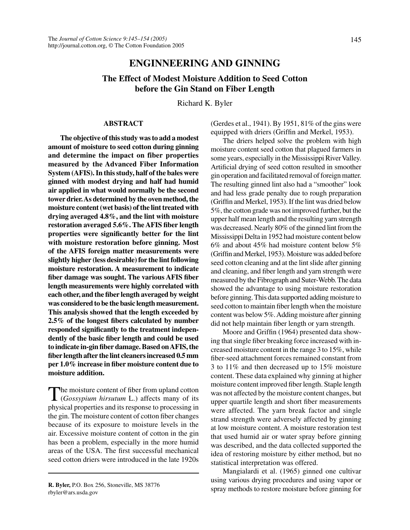# **ENGINNEERING AND GINNING**

# **The Effect of Modest Moisture Addition to Seed Cotton before the Gin Stand on Fiber Length**

Richard K. Byler

### **ABSTRACT**

**The objective of this study was to add a modest amount of moisture to seed cotton during ginning and determine the impact on fiber properties measured by the Advanced Fiber Information System (AFIS). In this study, half of the bales were ginned with modest drying and half had humid air applied in what would normally be the second tower drier. As determined by the oven method, the moisture content (wet basis) of the lint treated with drying averaged 4.8%, and the lint with moisture restoration averaged 5.6%. The AFIS fiber length properties were significantly better for the lint with moisture restoration before ginning. Most of the AFIS foreign matter measurements were slightly higher (less desirable) for the lint following moisture restoration. A measurement to indicate fiber damage was sought. The various AFIS fiber length measurements were highly correlated with each other, and the fiber length averaged by weight was considered to be the basic length measurement. This analysis showed that the length exceeded by 2.5% of the longest fibers calculated by number responded significantly to the treatment independently of the basic fiber length and could be used to indicate in-gin fiber damage. Based on AFIS, the fiber length after the lint cleaners increased 0.5 mm per 1.0% increase in fiber moisture content due to moisture addition.**

The moisture content of fiber from upland cotton (*Gossypium hirsutum* L.) affects many of its physical properties and its response to processing in the gin. The moisture content of cotton fiber changes because of its exposure to moisture levels in the air. Excessive moisture content of cotton in the gin has been a problem, especially in the more humid areas of the USA. The first successful mechanical seed cotton driers were introduced in the late 1920s

(Gerdes et al., 1941). By 1951, 81% of the gins were equipped with driers (Griffin and Merkel, 1953).

The driers helped solve the problem with high moisture content seed cotton that plagued farmers in some years, especially in the Mississippi River Valley. Artificial drying of seed cotton resulted in smoother gin operation and facilitated removal of foreign matter. The resulting ginned lint also had a "smoother" look and had less grade penalty due to rough preparation (Griffin and Merkel, 1953). If the lint was dried below 5%, the cotton grade was not improved further, but the upper half mean length and the resulting yarn strength was decreased. Nearly 80% of the ginned lint from the Mississippi Delta in 1952 had moisture content below 6% and about 45% had moisture content below 5% (Griffin and Merkel, 1953). Moisture was added before seed cotton cleaning and at the lint slide after ginning and cleaning, and fiber length and yarn strength were measured by the Fibrograph and Suter-Webb. The data showed the advantage to using moisture restoration before ginning. This data supported adding moisture to seed cotton to maintain fiber length when the moisture content was below 5%. Adding moisture after ginning did not help maintain fiber length or yarn strength.

Moore and Griffin (1964) presented data showing that single fiber breaking force increased with increased moisture content in the range 3 to 15%, while fiber-seed attachment forces remained constant from 3 to 11% and then decreased up to 15% moisture content. These data explained why ginning at higher moisture content improved fiber length. Staple length was not affected by the moisture content changes, but upper quartile length and short fiber measurements were affected. The yarn break factor and single strand strength were adversely affected by ginning at low moisture content. A moisture restoration test that used humid air or water spray before ginning was described, and the data collected supported the idea of restoring moisture by either method, but no statistical interpretation was offered.

Mangialardi et al. (1965) ginned one cultivar using various drying procedures and using vapor or spray methods to restore moisture before ginning for

**R. Byler,** P.O. Box 256, Stoneville, MS 38776 rbyler@ars.usda.gov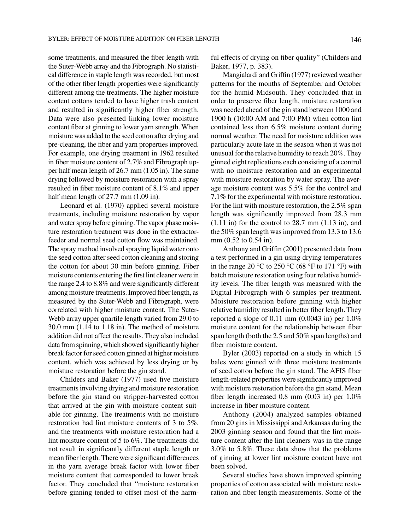some treatments, and measured the fiber length with the Suter-Webb array and the Fibrograph. No statistical difference in staple length was recorded, but most of the other fiber length properties were significantly different among the treatments. The higher moisture content cottons tended to have higher trash content and resulted in significantly higher fiber strength. Data were also presented linking lower moisture content fiber at ginning to lower yarn strength. When moisture was added to the seed cotton after drying and pre-cleaning, the fiber and yarn properties improved. For example, one drying treatment in 1962 resulted in fiber moisture content of 2.7% and Fibrograph upper half mean length of 26.7 mm (1.05 in). The same drying followed by moisture restoration with a spray resulted in fiber moisture content of 8.1% and upper half mean length of 27.7 mm  $(1.09 \text{ in})$ .

Leonard et al. (1970) applied several moisture treatments, including moisture restoration by vapor and water spray before ginning. The vapor phase moisture restoration treatment was done in the extractorfeeder and normal seed cotton flow was maintained. The spray method involved spraying liquid water onto the seed cotton after seed cotton cleaning and storing the cotton for about 30 min before ginning. Fiber moisture contents entering the first lint cleaner were in the range 2.4 to 8.8% and were significantly different among moisture treatments. Improved fiber length, as measured by the Suter-Webb and Fibrograph, were correlated with higher moisture content. The Suter-Webb array upper quartile length varied from 29.0 to 30.0 mm (1.14 to 1.18 in). The method of moisture addition did not affect the results. They also included data from spinning, which showed significantly higher break factor for seed cotton ginned at higher moisture content, which was achieved by less drying or by moisture restoration before the gin stand.

Childers and Baker (1977) used five moisture treatments involving drying and moisture restoration before the gin stand on stripper-harvested cotton that arrived at the gin with moisture content suitable for ginning. The treatments with no moisture restoration had lint moisture contents of 3 to 5%, and the treatments with moisture restoration had a lint moisture content of 5 to 6%. The treatments did not result in significantly different staple length or mean fiber length. There were significant differences in the yarn average break factor with lower fiber moisture content that corresponded to lower break factor. They concluded that "moisture restoration before ginning tended to offset most of the harmful effects of drying on fiber quality" (Childers and Baker, 1977, p. 383).

Mangialardi and Griffin (1977) reviewed weather patterns for the months of September and October for the humid Midsouth. They concluded that in order to preserve fiber length, moisture restoration was needed ahead of the gin stand between 1000 and 1900 h (10:00 AM and 7:00 PM) when cotton lint contained less than 6.5% moisture content during normal weather. The need for moisture addition was particularly acute late in the season when it was not unusual for the relative humidity to reach 20%. They ginned eight replications each consisting of a control with no moisture restoration and an experimental with moisture restoration by water spray. The average moisture content was 5.5% for the control and 7.1% for the experimental with moisture restoration. For the lint with moisture restoration, the 2.5% span length was significantly improved from 28.3 mm  $(1.11 \text{ in})$  for the control to 28.7 mm  $(1.13 \text{ in})$ , and the 50% span length was improved from 13.3 to 13.6 mm (0.52 to 0.54 in).

Anthony and Griffin (2001) presented data from a test performed in a gin using drying temperatures in the range 20 °C to 250 °C (68 °F to 171 °F) with batch moisture restoration using four relative humidity levels. The fiber length was measured with the Digital Fibrograph with 6 samples per treatment. Moisture restoration before ginning with higher relative humidity resulted in better fiber length. They reported a slope of  $0.11$  mm  $(0.0043$  in) per  $1.0\%$ moisture content for the relationship between fiber span length (both the 2.5 and 50% span lengths) and fiber moisture content.

Byler (2003) reported on a study in which 15 bales were ginned with three moisture treatments of seed cotton before the gin stand. The AFIS fiber length-related properties were significantly improved with moisture restoration before the gin stand. Mean fiber length increased 0.8 mm (0.03 in) per 1.0% increase in fiber moisture content.

Anthony (2004) analyzed samples obtained from 20 gins in Mississippi and Arkansas during the 2003 ginning season and found that the lint moisture content after the lint cleaners was in the range 3.0% to 5.8%. These data show that the problems of ginning at lower lint moisture content have not been solved.

Several studies have shown improved spinning properties of cotton associated with moisture restoration and fiber length measurements. Some of the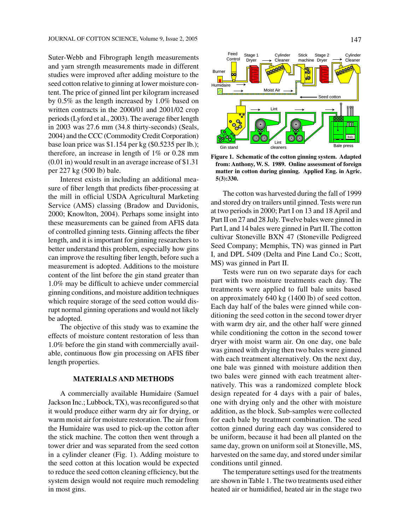Suter-Webb and Fibrograph length measurements and yarn strength measurements made in different studies were improved after adding moisture to the seed cotton relative to ginning at lower moisture content. The price of ginned lint per kilogram increased by 0.5% as the length increased by 1.0% based on written contracts in the 2000/01 and 2001/02 crop periods (Lyford et al., 2003). The average fiber length in 2003 was 27.6 mm (34.8 thirty-seconds) (Seals, 2004) and the CCC (Commodity Credit Corporation) base loan price was \$1.154 per kg (\$0.5235 per lb.); therefore, an increase in length of 1% or 0.28 mm (0.01 in) would result in an average increase of \$1.31 per 227 kg (500 lb) bale.

Interest exists in including an additional measure of fiber length that predicts fiber-processing at the mill in official USDA Agricultural Marketing Service (AMS) classing (Bradow and Davidonis, 2000; Knowlton, 2004). Perhaps some insight into these measurements can be gained from AFIS data of controlled ginning tests. Ginning affects the fiber length, and it is important for ginning researchers to better understand this problem, especially how gins can improve the resulting fiber length, before such a measurement is adopted. Additions to the moisture content of the lint before the gin stand greater than 1.0% may be difficult to achieve under commercial ginning conditions, and moisture addition techniques which require storage of the seed cotton would disrupt normal ginning operations and would not likely be adopted.

The objective of this study was to examine the effects of moisture content restoration of less than 1.0% before the gin stand with commercially available, continuous flow gin processing on AFIS fiber length properties.

# **MATERIALS AND METHODS**

A commercially available Humidaire (Samuel Jackson Inc.; Lubbock, TX), was reconfigured so that it would produce either warm dry air for drying, or warm moist air for moisture restoration. The air from the Humidaire was used to pick-up the cotton after the stick machine. The cotton then went through a tower drier and was separated from the seed cotton in a cylinder cleaner (Fig. 1). Adding moisture to the seed cotton at this location would be expected to reduce the seed cotton cleaning efficiency, but the system design would not require much remodeling in most gins.



**Figure 1. Schematic of the cotton ginning system. Adapted from: Anthony, W. S. 1989. Online assessment of foreign matter in cotton during ginning. Applied Eng. in Agric. 5(3):330.**

The cotton was harvested during the fall of 1999 and stored dry on trailers until ginned. Tests were run at two periods in 2000; Part I on 13 and 18 April and Part II on 27 and 28 July. Twelve bales were ginned in Part I, and 14 bales were ginned in Part II. The cotton cultivar Stoneville BXN 47 (Stoneville Pedigreed Seed Company; Memphis, TN) was ginned in Part I, and DPL 5409 (Delta and Pine Land Co.; Scott, MS) was ginned in Part II.

Tests were run on two separate days for each part with two moisture treatments each day. The treatments were applied to full bale units based on approximately 640 kg (1400 lb) of seed cotton. Each day half of the bales were ginned while conditioning the seed cotton in the second tower dryer with warm dry air, and the other half were ginned while conditioning the cotton in the second tower dryer with moist warm air. On one day, one bale was ginned with drying then two bales were ginned with each treatment alternatively. On the next day, one bale was ginned with moisture addition then two bales were ginned with each treatment alternatively. This was a randomized complete block design repeated for 4 days with a pair of bales, one with drying only and the other with moisture addition, as the block. Sub-samples were collected for each bale by treatment combination. The seed cotton ginned during each day was considered to be uniform, because it had been all planted on the same day, grown on uniform soil at Stoneville, MS, harvested on the same day, and stored under similar conditions until ginned.

The temperature settings used for the treatments are shown in Table 1. The two treatments used either heated air or humidified, heated air in the stage two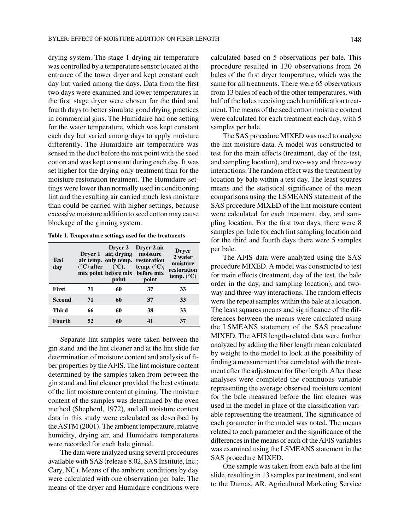drying system. The stage 1 drying air temperature was controlled by a temperature sensor located at the entrance of the tower dryer and kept constant each day but varied among the days. Data from the first two days were examined and lower temperatures in the first stage dryer were chosen for the third and fourth days to better simulate good drying practices in commercial gins. The Humidaire had one setting for the water temperature, which was kept constant each day but varied among days to apply moisture differently. The Humidaire air temperature was sensed in the duct before the mix point with the seed cotton and was kept constant during each day. It was set higher for the drying only treatment than for the moisture restoration treatment. The Humidaire settings were lower than normally used in conditioning lint and the resulting air carried much less moisture than could be carried with higher settings, because excessive moisture addition to seed cotton may cause blockage of the ginning system.

| Table 1. Temperature settings used for the treatments |  |  |
|-------------------------------------------------------|--|--|
|                                                       |  |  |

| Test<br>day   |    | Dryer 1 air, drying moisture<br>point | Dryer 2 Dryer 2 air<br>air temp. only temp. restoration<br>$({}^{\circ}C)$ after $({}^{\circ}C)$ , temp. $({}^{\circ}C)$ ,<br>mix point before mix before mix<br>point | <b>Dryer</b><br>2 water<br>moisture<br>restoration<br>temp. $(^{\circ}C)$ |
|---------------|----|---------------------------------------|------------------------------------------------------------------------------------------------------------------------------------------------------------------------|---------------------------------------------------------------------------|
| <b>First</b>  | 71 | 60                                    | 37                                                                                                                                                                     | 33                                                                        |
| <b>Second</b> | 71 | 60                                    | 37                                                                                                                                                                     | 33                                                                        |
| <b>Third</b>  | 66 | 60                                    | 38                                                                                                                                                                     | 33                                                                        |
| Fourth        |    | 60                                    |                                                                                                                                                                        | 37                                                                        |

Separate lint samples were taken between the gin stand and the lint cleaner and at the lint slide for determination of moisture content and analysis of fiber properties by the AFIS. The lint moisture content determined by the samples taken from between the gin stand and lint cleaner provided the best estimate of the lint moisture content at ginning. The moisture content of the samples was determined by the oven method (Shepherd, 1972), and all moisture content data in this study were calculated as described by the ASTM (2001). The ambient temperature, relative humidity, drying air, and Humidaire temperatures were recorded for each bale ginned.

The data were analyzed using several procedures available with SAS (release 8.02, SAS Institute, Inc.; Cary, NC). Means of the ambient conditions by day were calculated with one observation per bale. The means of the dryer and Humidaire conditions were calculated based on 5 observations per bale. This procedure resulted in 130 observations from 26 bales of the first dryer temperature, which was the same for all treatments. There were 65 observations from 13 bales of each of the other temperatures, with half of the bales receiving each humidification treatment. The means of the seed cotton moisture content were calculated for each treatment each day, with 5 samples per bale.

The SAS procedure MIXED was used to analyze the lint moisture data. A model was constructed to test for the main effects (treatment, day of the test, and sampling location), and two-way and three-way interactions. The random effect was the treatment by location by bale within a test day. The least squares means and the statistical significance of the mean comparisons using the LSMEANS statement of the SAS procedure MIXED of the lint moisture content were calculated for each treatment, day, and sampling location. For the first two days, there were 8 samples per bale for each lint sampling location and for the third and fourth days there were 5 samples per bale.

The AFIS data were analyzed using the SAS procedure MIXED. A model was constructed to test for main effects (treatment, day of the test, the bale order in the day, and sampling location), and twoway and three-way interactions. The random effects were the repeat samples within the bale at a location. The least squares means and significance of the differences between the means were calculated using the LSMEANS statement of the SAS procedure MIXED. The AFIS length-related data were further analyzed by adding the fiber length mean calculated by weight to the model to look at the possibility of finding a measurement that correlated with the treatment after the adjustment for fiber length. After these analyses were completed the continuous variable representing the average observed moisture content for the bale measured before the lint cleaner was used in the model in place of the classification variable representing the treatment. The significance of each parameter in the model was noted. The means related to each parameter and the significance of the differences in the means of each of the AFIS variables was examined using the LSMEANS statement in the SAS procedure MIXED.

One sample was taken from each bale at the lint slide, resulting in 13 samples per treatment, and sent to the Dumas, AR, Agricultural Marketing Service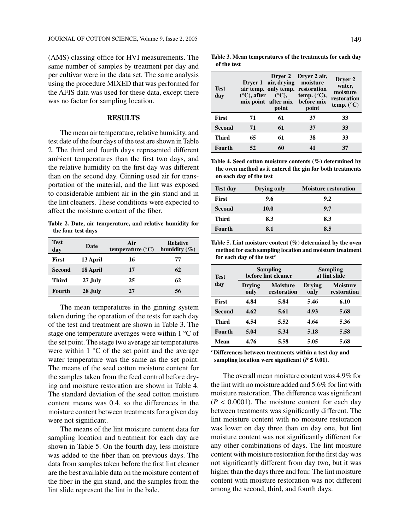(AMS) classing office for HVI measurements. The same number of samples by treatment per day and per cultivar were in the data set. The same analysis using the procedure MIXED that was performed for the AFIS data was used for these data, except there was no factor for sampling location.

## **RESULTS**

The mean air temperature, relative humidity, and test date of the four days of the test are shown in Table 2. The third and fourth days represented different ambient temperatures than the first two days, and the relative humidity on the first day was different than on the second day. Ginning used air for transportation of the material, and the lint was exposed to considerable ambient air in the gin stand and in the lint cleaners. These conditions were expected to affect the moisture content of the fiber.

**Table 2. Date, air temperature, and relative humidity for the four test days**

| <b>Test</b><br>day | Date     | Air<br>temperature $(^{\circ}C)$ | <b>Relative</b><br>humidity $(\%)$ |
|--------------------|----------|----------------------------------|------------------------------------|
| <b>First</b>       | 13 April | 16                               | 77                                 |
| Second             | 18 April | 17                               | 62                                 |
| <b>Third</b>       | 27 July  | 25                               | 62                                 |
| Fourth             | 28 July  | 27                               | 56                                 |

The mean temperatures in the ginning system taken during the operation of the tests for each day of the test and treatment are shown in Table 3. The stage one temperature averages were within 1 °C of the set point. The stage two average air temperatures were within  $1 \,^{\circ}\mathrm{C}$  of the set point and the average water temperature was the same as the set point. The means of the seed cotton moisture content for the samples taken from the feed control before drying and moisture restoration are shown in Table 4. The standard deviation of the seed cotton moisture content means was 0.4, so the differences in the moisture content between treatments for a given day were not significant.

The means of the lint moisture content data for sampling location and treatment for each day are shown in Table 5. On the fourth day, less moisture was added to the fiber than on previous days. The data from samples taken before the first lint cleaner are the best available data on the moisture content of the fiber in the gin stand, and the samples from the lint slide represent the lint in the bale.

**Table 3. Mean temperatures of the treatments for each day of the test**

| <b>Test</b><br>day | $(°C)$ , after | Dryer 1 air, drying moisture<br>$(^\circ\mathrm{C})$ ,<br>point | Drver 2 Drver 2 air,<br>air temp. only temp. restoration<br>temp. $(^{\circ}C)$ ,<br>mix point after mix before mix<br>point | Dryer 2<br>water,<br>moisture<br>restoration<br>temp. $(^{\circ}C)$ |
|--------------------|----------------|-----------------------------------------------------------------|------------------------------------------------------------------------------------------------------------------------------|---------------------------------------------------------------------|
| <b>First</b>       | 71             | 61                                                              | 37                                                                                                                           | 33                                                                  |
| <b>Second</b>      | 71             | 61                                                              | 37                                                                                                                           | 33                                                                  |
| <b>Third</b>       | 65             | 61                                                              | 38                                                                                                                           | 33                                                                  |
| Fourth             | 52             | 60                                                              | $\mathbf{A}$ 1                                                                                                               | 37                                                                  |

**Table 4. Seed cotton moisture contents (%) determined by the oven method as it entered the gin for both treatments on each day of the test**

| <b>Test day</b> | Drying only | <b>Moisture restoration</b> |
|-----------------|-------------|-----------------------------|
| <b>First</b>    | 9.6         | 9.2                         |
| Second          | <b>10.0</b> | 9.7                         |
| Third           | 8.3         | 8.3                         |
| <b>Fourth</b>   | 8.1         | 8.5                         |

**Table 5. Lint moisture content (%) determined by the oven method for each sampling location and moisture treatment for each day of the testz**

| <b>Test</b>  |                | <b>Sampling</b><br>before lint cleaner | Sampling<br>at lint slide |                                |  |
|--------------|----------------|----------------------------------------|---------------------------|--------------------------------|--|
| day          | Drying<br>only | <b>Moisture</b><br>restoration         | <b>Drving</b><br>only     | <b>Moisture</b><br>restoration |  |
| <b>First</b> | 4.84           | 5.84                                   | 5.46                      | 6.10                           |  |
| Second       | 4.62           | 5.61                                   | 4.93                      | 5.68                           |  |
| <b>Third</b> | 4.54           | 5.52                                   | 4.64                      | 5.36                           |  |
| Fourth       | 5.04           | 5.34                                   | 5.18                      | 5.58                           |  |
| Mean         | 4.76           | 5.58                                   | 5.05                      | 5.68                           |  |

**z Differences between treatments within a test day and sampling location were significant (** $P \le 0.01$ **).** 

The overall mean moisture content was 4.9% for the lint with no moisture added and 5.6% for lint with moisture restoration. The difference was significant  $(P < 0.0001)$ . The moisture content for each day between treatments was significantly different. The lint moisture content with no moisture restoration was lower on day three than on day one, but lint moisture content was not significantly different for any other combinations of days. The lint moisture content with moisture restoration for the first day was not significantly different from day two, but it was higher than the days three and four. The lint moisture content with moisture restoration was not different among the second, third, and fourth days.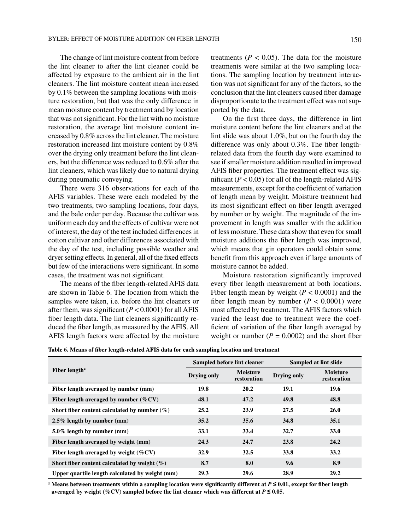The change of lint moisture content from before the lint cleaner to after the lint cleaner could be affected by exposure to the ambient air in the lint cleaners. The lint moisture content mean increased by 0.1% between the sampling locations with moisture restoration, but that was the only difference in mean moisture content by treatment and by location that was not significant. For the lint with no moisture restoration, the average lint moisture content increased by 0.8% across the lint cleaner. The moisture restoration increased lint moisture content by 0.8% over the drying only treatment before the lint cleaners, but the difference was reduced to 0.6% after the lint cleaners, which was likely due to natural drying during pneumatic conveying.

There were 316 observations for each of the AFIS variables. These were each modeled by the two treatments, two sampling locations, four days, and the bale order per day. Because the cultivar was uniform each day and the effects of cultivar were not of interest, the day of the test included differences in cotton cultivar and other differences associated with the day of the test, including possible weather and dryer setting effects. In general, all of the fixed effects but few of the interactions were significant. In some cases, the treatment was not significant.

The means of the fiber length-related AFIS data are shown in Table 6. The location from which the samples were taken, i.e. before the lint cleaners or after them, was significant  $(P < 0.0001)$  for all AFIS fiber length data. The lint cleaners significantly reduced the fiber length, as measured by the AFIS. All AFIS length factors were affected by the moisture treatments ( $P < 0.05$ ). The data for the moisture treatments were similar at the two sampling locations. The sampling location by treatment interaction was not significant for any of the factors, so the conclusion that the lint cleaners caused fiber damage disproportionate to the treatment effect was not supported by the data.

On the first three days, the difference in lint moisture content before the lint cleaners and at the lint slide was about 1.0%, but on the fourth day the difference was only about 0.3%. The fiber lengthrelated data from the fourth day were examined to see if smaller moisture addition resulted in improved AFIS fiber properties. The treatment effect was significant  $(P < 0.05)$  for all of the length-related AFIS measurements, except for the coefficient of variation of length mean by weight. Moisture treatment had its most significant effect on fiber length averaged by number or by weight. The magnitude of the improvement in length was smaller with the addition of less moisture. These data show that even for small moisture additions the fiber length was improved, which means that gin operators could obtain some benefit from this approach even if large amounts of moisture cannot be added.

Moisture restoration significantly improved every fiber length measurement at both locations. Fiber length mean by weight  $(P < 0.0001)$  and the fiber length mean by number  $(P < 0.0001)$  were most affected by treatment. The AFIS factors which varied the least due to treatment were the coefficient of variation of the fiber length averaged by weight or number  $(P = 0.0002)$  and the short fiber

**Table 6. Means of fiber length-related AFIS data for each sampling location and treatment** 

|                                                 |             | Sampled before lint cleaner    | Sampled at lint slide |                                |
|-------------------------------------------------|-------------|--------------------------------|-----------------------|--------------------------------|
| Fiber length <sup><math>z</math></sup>          | Drying only | <b>Moisture</b><br>restoration | <b>Drying only</b>    | <b>Moisture</b><br>restoration |
| Fiber length averaged by number (mm)            | 19.8        | 20.2                           | 19.1                  | 19.6                           |
| Fiber length averaged by number $(\%CV)$        | 48.1        | 47.2                           | 49.8                  | 48.8                           |
| Short fiber content calculated by number $(\%)$ | 25.2        | 23.9                           | 27.5                  | <b>26.0</b>                    |
| $2.5\%$ length by number (mm)                   | 35.2        | 35.6                           | 34.8                  | 35.1                           |
| $5.0\%$ length by number (mm)                   | 33.1        | 33.4                           | 32.7                  | <b>33.0</b>                    |
| Fiber length averaged by weight (mm)            | 24.3        | 24.7                           | 23.8                  | 24.2                           |
| Fiber length averaged by weight $(\%CV)$        | 32.9        | 32.5                           | 33.8                  | 33.2                           |
| Short fiber content calculated by weight $(\%)$ | 8.7         | 8.0                            | 9.6                   | 8.9                            |
| Upper quartile length calculated by weight (mm) | 29.3        | 29.6                           | 28.9                  | 29.2                           |

**z Means between treatments within a sampling location were significantly different at** *P* **≤ 0.01, except for fiber length averaged by weight (%CV) sampled before the lint cleaner which was different at**  $P \le 0.05$ **.**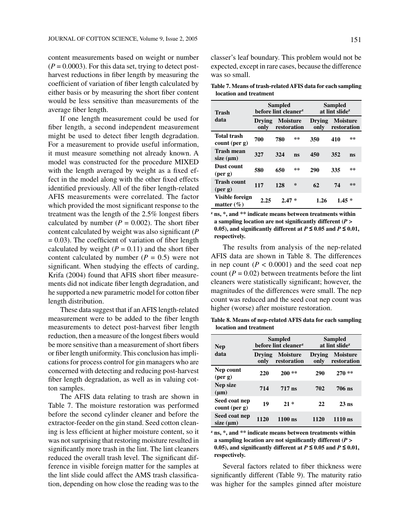content measurements based on weight or number  $(P = 0.0003)$ . For this data set, trying to detect postharvest reductions in fiber length by measuring the coefficient of variation of fiber length calculated by either basis or by measuring the short fiber content would be less sensitive than measurements of the average fiber length.

If one length measurement could be used for fiber length, a second independent measurement might be used to detect fiber length degradation. For a measurement to provide useful information, it must measure something not already known. A model was constructed for the procedure MIXED with the length averaged by weight as a fixed effect in the model along with the other fixed effects identified previously. All of the fiber length-related AFIS measurements were correlated. The factor which provided the most significant response to the treatment was the length of the 2.5% longest fibers calculated by number  $(P = 0.002)$ . The short fiber content calculated by weight was also significant (*P*  $= 0.03$ ). The coefficient of variation of fiber length calculated by weight  $(P = 0.11)$  and the short fiber content calculated by number  $(P = 0.5)$  were not significant. When studying the effects of carding, Krifa (2004) found that AFIS short fiber measurements did not indicate fiber length degradation, and he supported a new parametric model for cotton fiber length distribution.

These data suggest that if an AFIS length-related measurement were to be added to the fiber length measurements to detect post-harvest fiber length reduction, then a measure of the longest fibers would be more sensitive than a measurement of short fibers or fiber length uniformity. This conclusion has implications for process control for gin managers who are concerned with detecting and reducing post-harvest fiber length degradation, as well as in valuing cotton samples.

The AFIS data relating to trash are shown in Table 7. The moisture restoration was performed before the second cylinder cleaner and before the extractor-feeder on the gin stand. Seed cotton cleaning is less efficient at higher moisture content, so it was not surprising that restoring moisture resulted in significantly more trash in the lint. The lint cleaners reduced the overall trash level. The significant difference in visible foreign matter for the samples at the lint slide could affect the AMS trash classification, depending on how close the reading was to the classer's leaf boundary. This problem would not be expected, except in rare cases, because the difference was so small.

**Table 7. Means of trash-related AFIS data for each sampling location and treatment**

| Trash                                      | <b>Sampled</b><br>before lint cleaner <sup>z</sup> |                                |    | Sampled<br>at lint slide <sup>z</sup> |                                |    |
|--------------------------------------------|----------------------------------------------------|--------------------------------|----|---------------------------------------|--------------------------------|----|
| data                                       | Drving<br>only                                     | <b>Moisture</b><br>restoration |    | Drving<br>only                        | <b>Moisture</b><br>restoration |    |
| <b>Total trash</b><br>count (per g)        | 700                                                | 780                            | ** | 350                                   | 410                            | ** |
| <b>Trash mean</b><br>size $(\mu m)$        | 327                                                | 324                            | ns | 450                                   | 352                            | ns |
| Dust count<br>$(\nper \mathbf{g})$         | 580                                                | 650                            | ** | 290                                   | 335                            | ** |
| <b>Trash count</b><br>$(\nper \mathbf{g})$ | 117                                                | 128                            | *  | 62                                    | 74                             | ** |
| Visible foreign<br>matter $(\% )$          | 2.25                                               | $2.47*$                        |    | 1.26                                  | $1.45*$                        |    |

**z ns, \*, and \*\* indicate means between treatments within a sampling location are not significantly different (***P* **> 0.05**), and significantly different at  $P \le 0.05$  and  $P \le 0.01$ , **respectively.**

The results from analysis of the nep-related AFIS data are shown in Table 8. The differences in nep count  $(P < 0.0001)$  and the seed coat nep count  $(P = 0.02)$  between treatments before the lint cleaners were statistically significant; however, the magnitudes of the differences were small. The nep count was reduced and the seed coat nep count was higher (worse) after moisture restoration.

**Table 8. Means of nep-related AFIS data for each sampling location and treatment**

| <b>Nep</b>                        |                | <b>Sampled</b><br>before lint cleaner <sup>z</sup> | Sampled<br>at lint slide <sup>z</sup> |                                |  |
|-----------------------------------|----------------|----------------------------------------------------|---------------------------------------|--------------------------------|--|
| data                              | Drving<br>only | <b>Moisture</b><br>restoration                     | <b>Drving</b><br>only                 | <b>Moisture</b><br>restoration |  |
| Nep count<br>$(\nper \mathbf{g})$ | 220            | $200**$                                            | 290                                   | $270**$                        |  |
| Nep size<br>$(\mu m)$             | 714            | $717$ ns                                           | 702                                   | <b>706 ns</b>                  |  |
| Seed coat nep<br>count (per g)    | 19             | $21*$                                              | 22                                    | $23$ ns                        |  |
| Seed coat nep<br>size $(\mu m)$   | 1120           | $1100$ ns                                          | 1120                                  | $1110$ ns                      |  |

**z ns, \*, and \*\* indicate means between treatments within a sampling location are not significantly different (***P* **> 0.05**), and significantly different at  $P \le 0.05$  and  $P \le 0.01$ , **respectively.**

Several factors related to fiber thickness were significantly different (Table 9). The maturity ratio was higher for the samples ginned after moisture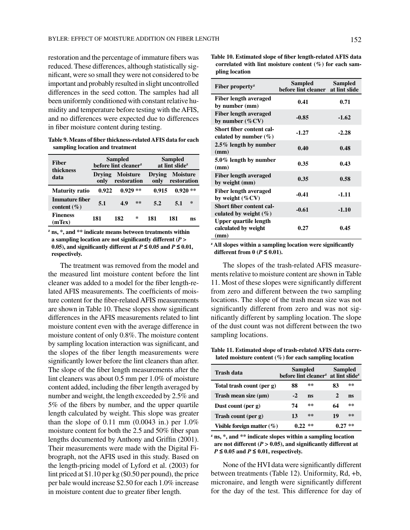restoration and the percentage of immature fibers was reduced. These differences, although statistically significant, were so small they were not considered to be important and probably resulted in slight uncontrolled differences in the seed cotton. The samples had all been uniformly conditioned with constant relative humidity and temperature before testing with the AFIS, and no differences were expected due to differences in fiber moisture content during testing.

**Table 9. Means of fiber thickness-related AFIS data for each sampling location and treatment** 

| <b>Fiber</b>                      | <b>Sampled</b><br>before lint cleaner <sup>z</sup> |                                |    | <b>Sampled</b><br>at lint slide <sup>z</sup> |                                |    |
|-----------------------------------|----------------------------------------------------|--------------------------------|----|----------------------------------------------|--------------------------------|----|
| thickness<br>data                 | Drving<br>only                                     | <b>Moisture</b><br>restoration |    | <b>Drying</b><br>only                        | <b>Moisture</b><br>restoration |    |
| <b>Maturity ratio</b>             | 0.922                                              | $0.929**$                      |    | 0.915                                        | $0.920**$                      |    |
| Immature fiber<br>content $(\% )$ | 5.1                                                | 4.9                            | ** | 5.2                                          | 5.1                            | ∗  |
| <b>Fineness</b><br>(mTex)         | 181                                                | 182                            | ∗  | 181                                          | 181                            | ns |

**z ns, \*, and \*\* indicate means between treatments within a sampling location are not significantly different (***P* **> 0.05**), and significantly different at  $P \le 0.05$  and  $P \le 0.01$ , **respectively.**

The treatment was removed from the model and the measured lint moisture content before the lint cleaner was added to a model for the fiber length-related AFIS measurements. The coefficients of moisture content for the fiber-related AFIS measurements are shown in Table 10. These slopes show significant differences in the AFIS measurements related to lint moisture content even with the average difference in moisture content of only 0.8%. The moisture content by sampling location interaction was significant, and the slopes of the fiber length measurements were significantly lower before the lint cleaners than after. The slope of the fiber length measurements after the lint cleaners was about 0.5 mm per 1.0% of moisture content added, including the fiber length averaged by number and weight, the length exceeded by 2.5% and 5% of the fibers by number, and the upper quartile length calculated by weight. This slope was greater than the slope of 0.11 mm  $(0.0043 \text{ in.})$  per 1.0% moisture content for both the 2.5 and 50% fiber span lengths documented by Anthony and Griffin (2001). Their measurements were made with the Digital Fibrograph, not the AFIS used in this study. Based on the length-pricing model of Lyford et al. (2003) for lint priced at \$1.10 per kg (\$0.50 per pound), the price per bale would increase \$2.50 for each 1.0% increase in moisture content due to greater fiber length.

**Table 10. Estimated slope of fiber length-related AFIS data correlated with lint moisture content (%) for each sampling location**

| Fiber property <sup><math>z</math></sup>                     | Sampled<br>before lint cleaner at lint slide | <b>Sampled</b> |
|--------------------------------------------------------------|----------------------------------------------|----------------|
| <b>Fiber length averaged</b><br>by number (mm)               | 0.41                                         | 0.71           |
| <b>Fiber length averaged</b><br>by number $(\%CV)$           | $-0.85$                                      | $-1.62$        |
| Short fiber content cal-<br>culated by number $(\% )$        | $-1.27$                                      | $-2.28$        |
| 2.5% length by number<br>(mm)                                | 0.40                                         | 0.48           |
| 5.0% length by number<br>(mm)                                | 0.35                                         | 0.43           |
| <b>Fiber length averaged</b><br>by weight (mm)               | 0.35                                         | 0.58           |
| <b>Fiber length averaged</b><br>by weight $(\%CV)$           | $-0.41$                                      | $-1.11$        |
| Short fiber content cal-<br>culated by weight $(\% )$        | $-0.61$                                      | $-1.10$        |
| <b>Upper quartile length</b><br>calculated by weight<br>(mm) | 0.27                                         | 0.45           |

**z All slopes within a sampling location were significantly different from 0** ( $P \le 0.01$ ).

The slopes of the trash-related AFIS measurements relative to moisture content are shown in Table 11. Most of these slopes were significantly different from zero and different between the two sampling locations. The slope of the trash mean size was not significantly different from zero and was not significantly different by sampling location. The slope of the dust count was not different between the two sampling locations.

**Table 11. Estimated slope of trash-related AFIS data correlated moisture content (%) for each sampling location**

| Trash data                    | Sampled<br>before lint cleaner <sup>2</sup> at lint slide <sup>2</sup> |    | <b>Sampled</b> |    |
|-------------------------------|------------------------------------------------------------------------|----|----------------|----|
| Total trash count (per g)     | 88                                                                     | ** | 83             | ** |
| Trash mean size $(\mu m)$     | $-2$                                                                   | ns | 2              | ns |
| Dust count (per $g$ )         | 74                                                                     | ** | 64             | ** |
| Trash count (per g)           | 13                                                                     | ** | 19             | ** |
| Visible foreign matter $(\%)$ | $0.22$ **                                                              |    |                | ** |

**z ns, \*, and \*\* indicate slopes within a sampling location are not different (***P* **> 0.05), and significantly different at**   $P \leq 0.05$  and  $P \leq 0.01$ , respectively.

None of the HVI data were significantly different between treatments (Table 12). Uniformity, Rd, +b, micronaire, and length were significantly different for the day of the test. This difference for day of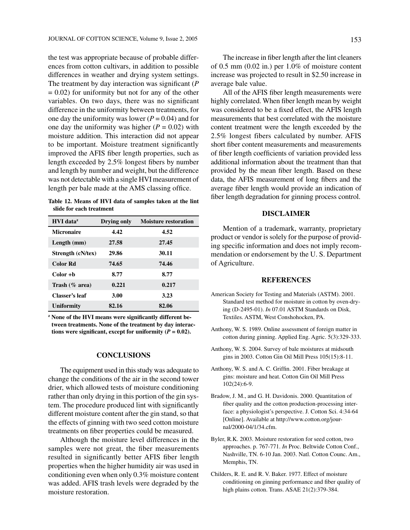the test was appropriate because of probable differences from cotton cultivars, in addition to possible differences in weather and drying system settings. The treatment by day interaction was significant (*P*  $= 0.02$ ) for uniformity but not for any of the other variables. On two days, there was no significant difference in the uniformity between treatments, for one day the uniformity was lower  $(P = 0.04)$  and for one day the uniformity was higher  $(P = 0.02)$  with moisture addition. This interaction did not appear to be important. Moisture treatment significantly improved the AFIS fiber length properties, such as length exceeded by 2.5% longest fibers by number and length by number and weight, but the difference was not detectable with a single HVI measurement of length per bale made at the AMS classing office.

**Table 12. Means of HVI data of samples taken at the lint slide for each treatment**

| HVI data <sup>z</sup> | Drying only | <b>Moisture restoration</b> |
|-----------------------|-------------|-----------------------------|
| <b>Micronaire</b>     | 4.42        | 4.52                        |
| Length (mm)           | 27.58       | 27.45                       |
| Strength (cN/tex)     | 29.86       | 30.11                       |
| <b>Color Rd</b>       | 74.65       | 74.46                       |
| Color +b              | 8.77        | 8.77                        |
| Trash $(\%$ area)     | 0.221       | 0.217                       |
| Classer's leaf        | 3.00        | 3.23                        |
| <b>Uniformity</b>     | 82.16       | 82.06                       |

<sup>2</sup> None of the HVI means were significantly different be**tween treatments. None of the treatment by day interactions were significant, except for uniformity (** $P = 0.02$ **).** 

### **CONCLUSIONS**

The equipment used in this study was adequate to change the conditions of the air in the second tower drier, which allowed tests of moisture conditioning rather than only drying in this portion of the gin system. The procedure produced lint with significantly different moisture content after the gin stand, so that the effects of ginning with two seed cotton moisture treatments on fiber properties could be measured.

Although the moisture level differences in the samples were not great, the fiber measurements resulted in significantly better AFIS fiber length properties when the higher humidity air was used in conditioning even when only 0.3% moisture content was added. AFIS trash levels were degraded by the moisture restoration.

The increase in fiber length after the lint cleaners of 0.5 mm (0.02 in.) per 1.0% of moisture content increase was projected to result in \$2.50 increase in average bale value.

All of the AFIS fiber length measurements were highly correlated. When fiber length mean by weight was considered to be a fixed effect, the AFIS length measurements that best correlated with the moisture content treatment were the length exceeded by the 2.5% longest fibers calculated by number. AFIS short fiber content measurements and measurements of fiber length coefficients of variation provided less additional information about the treatment than that provided by the mean fiber length. Based on these data, the AFIS measurement of long fibers and the average fiber length would provide an indication of fiber length degradation for ginning process control.

# **DISCLAIMER**

Mention of a trademark, warranty, proprietary product or vendor is solely for the purpose of providing specific information and does not imply recommendation or endorsement by the U. S. Department of Agriculture.

### **REFERENCES**

- American Society for Testing and Materials (ASTM). 2001. Standard test method for moisture in cotton by oven-drying (D-2495-01). *In* 07.01 ASTM Standards on Disk, Textiles. ASTM, West Conshohocken, PA.
- Anthony, W. S. 1989. Online assessment of foreign matter in cotton during ginning. Applied Eng. Agric. 5(3):329-333.
- Anthony, W. S. 2004. Survey of bale moistures at midsouth gins in 2003. Cotton Gin Oil Mill Press 105(15):8-11.
- Anthony, W. S. and A. C. Griffin. 2001. Fiber breakage at gins: moisture and heat. Cotton Gin Oil Mill Press 102(24):6-9.
- Bradow, J. M., and G. H. Davidonis. 2000. Quantitation of fiber quality and the cotton production-processing interface: a physiologist's perspective. J. Cotton Sci. 4:34-64 [Online]. Available at http://www.cotton.org/journal/2000-04/1/34.cfm.
- Byler, R.K. 2003. Moisture restoration for seed cotton, two approaches. p. 767-771. *In* Proc. Beltwide Cotton Conf., Nashville, TN. 6-10 Jan. 2003. Natl. Cotton Counc. Am., Memphis, TN.
- Childers, R. E. and R. V. Baker. 1977. Effect of moisture conditioning on ginning performance and fiber quality of high plains cotton. Trans. ASAE 21(2):379-384.